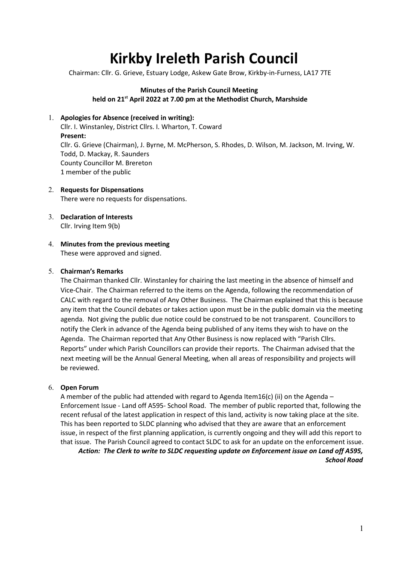# Kirkby Ireleth Parish Council

Chairman: Cllr. G. Grieve, Estuary Lodge, Askew Gate Brow, Kirkby-in-Furness, LA17 7TE

#### Minutes of the Parish Council Meeting held on 21<sup>st</sup> April 2022 at 7.00 pm at the Methodist Church, Marshside

#### 1. Apologies for Absence (received in writing):

Cllr. I. Winstanley, District Cllrs. I. Wharton, T. Coward Present: Cllr. G. Grieve (Chairman), J. Byrne, M. McPherson, S. Rhodes, D. Wilson, M. Jackson, M. Irving, W. Todd, D. Mackay, R. Saunders County Councillor M. Brereton 1 member of the public

- 2. Requests for Dispensations There were no requests for dispensations.
- 3. Declaration of Interests Cllr. Irving Item 9(b)
- 4. Minutes from the previous meeting These were approved and signed.

#### 5. Chairman's Remarks

The Chairman thanked Cllr. Winstanley for chairing the last meeting in the absence of himself and Vice-Chair. The Chairman referred to the items on the Agenda, following the recommendation of CALC with regard to the removal of Any Other Business. The Chairman explained that this is because any item that the Council debates or takes action upon must be in the public domain via the meeting agenda. Not giving the public due notice could be construed to be not transparent. Councillors to notify the Clerk in advance of the Agenda being published of any items they wish to have on the Agenda. The Chairman reported that Any Other Business is now replaced with "Parish Cllrs. Reports" under which Parish Councillors can provide their reports. The Chairman advised that the next meeting will be the Annual General Meeting, when all areas of responsibility and projects will be reviewed.

#### 6. Open Forum

A member of the public had attended with regard to Agenda Item16(c) (ii) on the Agenda – Enforcement Issue - Land off A595- School Road. The member of public reported that, following the recent refusal of the latest application in respect of this land, activity is now taking place at the site. This has been reported to SLDC planning who advised that they are aware that an enforcement issue, in respect of the first planning application, is currently ongoing and they will add this report to that issue. The Parish Council agreed to contact SLDC to ask for an update on the enforcement issue.

Action: The Clerk to write to SLDC requesting update on Enforcement issue on Land off A595, School Road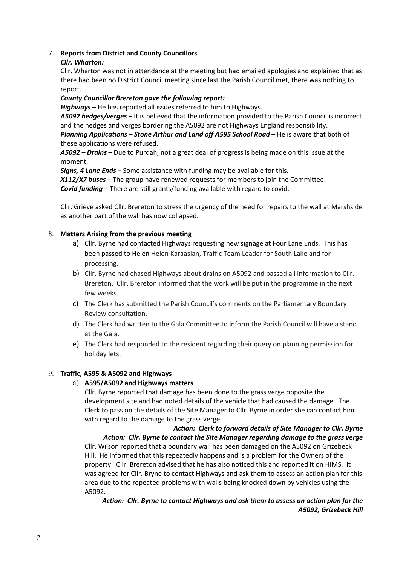#### 7. Reports from District and County Councillors

#### Cllr. Wharton:

Cllr. Wharton was not in attendance at the meeting but had emailed apologies and explained that as there had been no District Council meeting since last the Parish Council met, there was nothing to report.

#### County Councillor Brereton gave the following report:

Highways – He has reported all issues referred to him to Highways.

A5092 hedges/verges – It is believed that the information provided to the Parish Council is incorrect and the hedges and verges bordering the A5092 are not Highways England responsibility. Planning Applications - Stone Arthur and Land off A595 School Road - He is aware that both of these applications were refused.

A5092 – Drains – Due to Purdah, not a great deal of progress is being made on this issue at the moment.

Signs, 4 Lane Ends – Some assistance with funding may be available for this.

X112/X7 buses - The group have renewed requests for members to join the Committee. **Covid funding** – There are still grants/funding available with regard to covid.

Cllr. Grieve asked Cllr. Brereton to stress the urgency of the need for repairs to the wall at Marshside as another part of the wall has now collapsed.

#### 8. Matters Arising from the previous meeting

- a) Cllr. Byrne had contacted Highways requesting new signage at Four Lane Ends. This has been passed to Helen Helen Karaaslan, Traffic Team Leader for South Lakeland for processing.
- b) Cllr. Byrne had chased Highways about drains on A5092 and passed all information to Cllr. Brereton. Cllr. Brereton informed that the work will be put in the programme in the next few weeks.
- c) The Clerk has submitted the Parish Council's comments on the Parliamentary Boundary Review consultation.
- d) The Clerk had written to the Gala Committee to inform the Parish Council will have a stand at the Gala.
- e) The Clerk had responded to the resident regarding their query on planning permission for holiday lets.

#### 9. Traffic, A595 & A5092 and Highways

#### a) A595/A5092 and Highways matters

Cllr. Byrne reported that damage has been done to the grass verge opposite the development site and had noted details of the vehicle that had caused the damage. The Clerk to pass on the details of the Site Manager to Cllr. Byrne in order she can contact him with regard to the damage to the grass verge.

Action: Clerk to forward details of Site Manager to Cllr. Byrne Action: Cllr. Byrne to contact the Site Manager regarding damage to the grass verge Cllr. Wilson reported that a boundary wall has been damaged on the A5092 on Grizebeck Hill. He informed that this repeatedly happens and is a problem for the Owners of the property. Cllr. Brereton advised that he has also noticed this and reported it on HIMS. It was agreed for Cllr. Bryne to contact Highways and ask them to assess an action plan for this area due to the repeated problems with walls being knocked down by vehicles using the A5092.

Action: Cllr. Byrne to contact Highways and ask them to assess an action plan for the A5092, Grizebeck Hill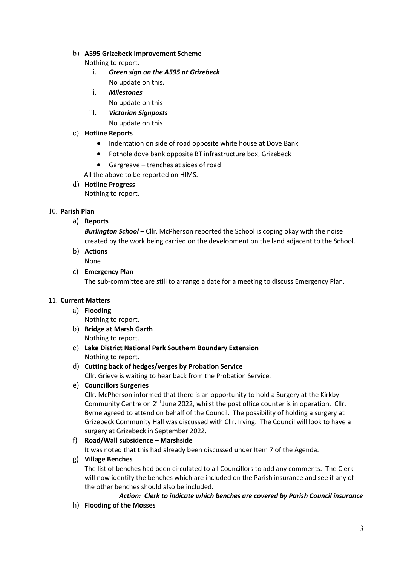#### b) A595 Grizebeck Improvement Scheme

Nothing to report.

- i. Green sign on the A595 at Grizebeck No update on this.
- ii. Milestones
	- No update on this
- iii. Victorian Signposts No update on this

# c) Hotline Reports

- Indentation on side of road opposite white house at Dove Bank
- Pothole dove bank opposite BT infrastructure box, Grizebeck
- Gargreave trenches at sides of road
- All the above to be reported on HIMS.

# d) Hotline Progress

Nothing to report.

# 10. Parish Plan

a) Reports

Burlington School - Cllr. McPherson reported the School is coping okay with the noise created by the work being carried on the development on the land adjacent to the School.

b) Actions

None

c) Emergency Plan

The sub-committee are still to arrange a date for a meeting to discuss Emergency Plan.

# 11. Current Matters

- a) Flooding
- Nothing to report. b) Bridge at Marsh Garth Nothing to report.
- c) Lake District National Park Southern Boundary Extension Nothing to report.
- d) Cutting back of hedges/verges by Probation Service Cllr. Grieve is waiting to hear back from the Probation Service.
- e) Councillors Surgeries

Cllr. McPherson informed that there is an opportunity to hold a Surgery at the Kirkby Community Centre on  $2^{nd}$  June 2022, whilst the post office counter is in operation. Cllr. Byrne agreed to attend on behalf of the Council. The possibility of holding a surgery at Grizebeck Community Hall was discussed with Cllr. Irving. The Council will look to have a surgery at Grizebeck in September 2022.

# f) Road/Wall subsidence – Marshside

It was noted that this had already been discussed under Item 7 of the Agenda.

#### g) Village Benches

The list of benches had been circulated to all Councillors to add any comments. The Clerk will now identify the benches which are included on the Parish insurance and see if any of the other benches should also be included.

Action: Clerk to indicate which benches are covered by Parish Council insurance

h) Flooding of the Mosses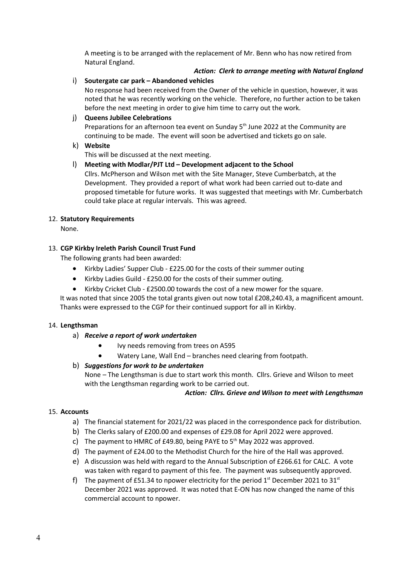A meeting is to be arranged with the replacement of Mr. Benn who has now retired from Natural England.

# Action: Clerk to arrange meeting with Natural England

#### i) Soutergate car park – Abandoned vehicles

No response had been received from the Owner of the vehicle in question, however, it was noted that he was recently working on the vehicle. Therefore, no further action to be taken before the next meeting in order to give him time to carry out the work.

#### j) Queens Jubilee Celebrations

Preparations for an afternoon tea event on Sunday  $5<sup>th</sup>$  June 2022 at the Community are continuing to be made. The event will soon be advertised and tickets go on sale.

#### k) Website

This will be discussed at the next meeting.

#### l) Meeting with Modlar/PJT Ltd – Development adjacent to the School

Cllrs. McPherson and Wilson met with the Site Manager, Steve Cumberbatch, at the Development. They provided a report of what work had been carried out to-date and proposed timetable for future works. It was suggested that meetings with Mr. Cumberbatch could take place at regular intervals. This was agreed.

#### 12. Statutory Requirements

None.

#### 13. CGP Kirkby Ireleth Parish Council Trust Fund

The following grants had been awarded:

- Kirkby Ladies' Supper Club £225.00 for the costs of their summer outing
- Kirkby Ladies Guild £250.00 for the costs of their summer outing.
- Kirkby Cricket Club £2500.00 towards the cost of a new mower for the square.

It was noted that since 2005 the total grants given out now total £208,240.43, a magnificent amount. Thanks were expressed to the CGP for their continued support for all in Kirkby.

#### 14. Lengthsman

#### a) Receive a report of work undertaken

- Ivy needs removing from trees on A595
- Watery Lane, Wall End branches need clearing from footpath.

#### b) Suggestions for work to be undertaken

None – The Lengthsman is due to start work this month. Cllrs. Grieve and Wilson to meet with the Lengthsman regarding work to be carried out.

#### Action: Cllrs. Grieve and Wilson to meet with Lengthsman

#### 15. Accounts

- a) The financial statement for 2021/22 was placed in the correspondence pack for distribution.
- b) The Clerks salary of £200.00 and expenses of £29.08 for April 2022 were approved.
- c) The payment to HMRC of £49.80, being PAYE to  $5<sup>th</sup>$  May 2022 was approved.
- d) The payment of £24.00 to the Methodist Church for the hire of the Hall was approved.
- e) A discussion was held with regard to the Annual Subscription of £266.61 for CALC. A vote was taken with regard to payment of this fee. The payment was subsequently approved.
- f) The payment of £51.34 to npower electricity for the period  $1<sup>st</sup>$  December 2021 to 31<sup>st</sup> December 2021 was approved. It was noted that E-ON has now changed the name of this commercial account to npower.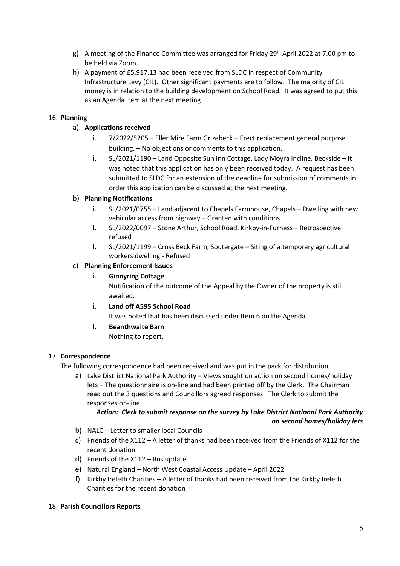- g) A meeting of the Finance Committee was arranged for Friday 29<sup>th</sup> April 2022 at 7.00 pm to be held via Zoom.
- h) A payment of £5,917.13 had been received from SLDC in respect of Community Infrastructure Levy (CIL). Other significant payments are to follow. The majority of CIL money is in relation to the building development on School Road. It was agreed to put this as an Agenda item at the next meeting.

# 16. Planning

- a) Applications received
	- i. 7/2022/5205 Eller Mire Farm Grizebeck Erect replacement general purpose building. – No objections or comments to this application.
	- ii. SL/2021/1190 Land Opposite Sun Inn Cottage, Lady Moyra Incline, Beckside It was noted that this application has only been received today. A request has been submitted to SLDC for an extension of the deadline for submission of comments in order this application can be discussed at the next meeting.

# b) Planning Notifications

- i. SL/2021/0755 Land adjacent to Chapels Farmhouse, Chapels Dwelling with new vehicular access from highway – Granted with conditions
- ii. SL/2022/0097 Stone Arthur, School Road, Kirkby-in-Furness Retrospective refused
- iii. SL/2021/1199 Cross Beck Farm, Soutergate Siting of a temporary agricultural workers dwelling - Refused

#### c) Planning Enforcement Issues

i. Ginnyring Cottage

Notification of the outcome of the Appeal by the Owner of the property is still awaited.

ii. Land off A595 School Road

It was noted that has been discussed under Item 6 on the Agenda.

iii. Beanthwaite Barn

Nothing to report.

#### 17. Correspondence

The following correspondence had been received and was put in the pack for distribution.

a) Lake District National Park Authority – Views sought on action on second homes/holiday lets – The questionnaire is on-line and had been printed off by the Clerk. The Chairman read out the 3 questions and Councillors agreed responses. The Clerk to submit the responses on-line.

# Action: Clerk to submit response on the survey by Lake District National Park Authority on second homes/holiday lets

- b) NALC Letter to smaller local Councils
- c) Friends of the X112 A letter of thanks had been received from the Friends of X112 for the recent donation
- d) Friends of the X112 Bus update
- e) Natural England North West Coastal Access Update April 2022
- f) Kirkby Ireleth Charities A letter of thanks had been received from the Kirkby Ireleth Charities for the recent donation

#### 18. Parish Councillors Reports